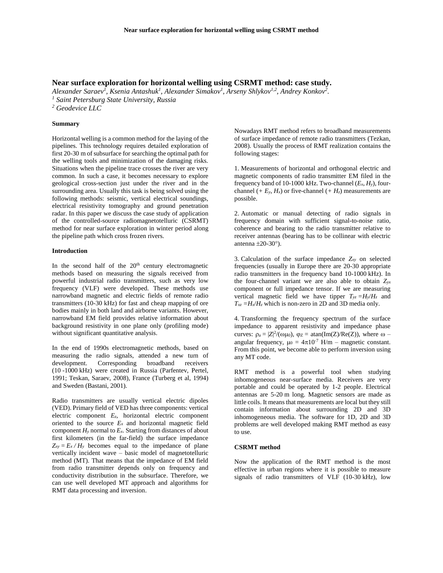# **Near surface exploration for horizontal welling using CSRMT method: case study.**

*Alexander Saraev<sup>1</sup> , Ksenia Antashuk<sup>1</sup> , Alexander Simakov<sup>1</sup> , Arseny Shlykov1,2, Andrey Konkov<sup>2</sup> . <sup>1</sup> Saint Petersburg State University, Russia*

*<sup>2</sup> Geodevice LLC*

## **Summary**

Horizontal welling is a common method for the laying of the pipelines. This technology requires detailed exploration of first 20-30 m of subsurface for searching the optimal path for the welling tools and minimization of the damaging risks. Situations when the pipeline trace crosses the river are very common. In such a case, it becomes necessary to explore geological cross-section just under the river and in the surrounding area. Usually this task is being solved using the following methods: seismic, vertical electrical soundings, electrical resistivity tomography and ground penetration radar. In this paper we discuss the case study of application of the controlled-source radiomagnetotelluric (CSRMT) method for near surface exploration in winter period along the pipeline path which cross frozen rivers.

# **Introduction**

In the second half of the  $20<sup>th</sup>$  century electromagnetic methods based on measuring the signals received from powerful industrial radio transmitters, such as very low frequency (VLF) were developed. These methods use narrowband magnetic and electric fields of remote radio transmitters (10-30 kHz) for fast and cheap mapping of ore bodies mainly in both land and airborne variants. However, narrowband EM field provides relative information about background resistivity in one plane only (profiling mode) without significant quantitative analysis.

In the end of 1990s electromagnetic methods, based on measuring the radio signals, attended a new turn of development. Corresponding broadband receivers (10 -1000 kHz) were created in Russia (Parfentev, Pertel, 1991; Teskan, Saraev, 2008), France (Turberg et al, 1994) and Sweden (Bastani, 2001).

Radio transmitters are usually vertical electric dipoles (VED). Primary field of VED has three components: vertical electric component *Ez*, horizontal electric component oriented to the source  $E_x$  and horizontal magnetic field component  $H<sub>y</sub>$  normal to  $E<sub>x</sub>$ . Starting from distances of about first kilometers (in the far-field) the surface impedance  $Z_{xy} = E_x / H_y$  becomes equal to the impedance of plane vertically incident wave – basic model of magnetotelluric method (MT). That means that the impedance of EM field from radio transmitter depends only on frequency and conductivity distribution in the subsurface. Therefore, we can use well developed MT approach and algorithms for RMT data processing and inversion.

Nowadays RMT method refers to broadband measurements of surface impedance of remote radio transmitters (Tezkan, 2008). Usually the process of RMT realization contains the following stages:

1. Measurements of horizontal and orthogonal electric and magnetic components of radio transmitter EM filed in the frequency band of 10-1000 kHz. Two-channel  $(E_x, H_y)$ , fourchannel  $(F E_y, H_x)$  or five-channel  $(F H_z)$  measurements are possible.

2. Automatic or manual detecting of radio signals in frequency domain with sufficient signal-to-noise ratio, coherence and bearing to the radio transmitter relative to receiver antennas (bearing has to be collinear with electric antenna  $\pm 20-30^{\circ}$ ).

3. Calculation of the surface impedance *Zxy* on selected frequencies (usually in Europe there are 20-30 appropriate radio transmitters in the frequency band 10-1000 kHz). In the four-channel variant we are also able to obtain *Zyx* component or full impedance tensor. If we are measuring vertical magnetic field we have tipper  $T_{yz} = H_y/H_z$  and  $T_{xz} = H_x/H_z$  which is non-zero in 2D and 3D media only.

4. Transforming the frequency spectrum of the surface impedance to apparent resistivity and impedance phase curves:  $\rho_a = |Z|^2/(\omega \mu_0)$ ,  $\varphi_Z = \text{atan(Im}(Z)/\text{Re}(Z))$ , where  $\omega$ angular frequency,  $\mu_0 = 4\pi 10^{-7}$  H/m – magnetic constant. From this point, we become able to perform inversion using any MT code.

RMT method is a powerful tool when studying inhomogeneous near-surface media. Receivers are very portable and could be operated by 1-2 people. Electrical antennas are 5-20 m long. Magnetic sensors are made as little coils. It means that measurements are local but they still contain information about surrounding 2D and 3D inhomogeneous media. The software for 1D, 2D and 3D problems are well developed making RMT method as easy to use.

## **CSRMT method**

Now the application of the RMT method is the most effective in urban regions where it is possible to measure signals of radio transmitters of VLF (10-30 kHz), low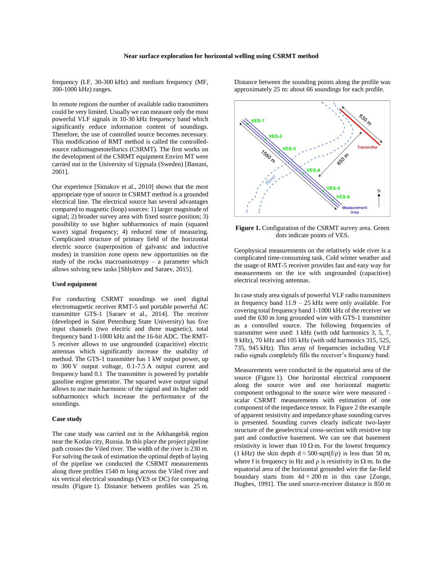frequency (LF, 30-300 kHz) and medium frequency (MF, 300-1000 kHz) ranges.

In remote regions the number of available radio transmitters could be very limited. Usually we can measure only the most powerful VLF signals in 10-30 kHz frequency band which significantly reduce information content of soundings. Therefore, the use of controlled source becomes necessary. This modification of RMT method is called the controlledsource radiomagnetotellurics (CSRMT). The first works on the development of the CSRMT equipment Enviro MT were carried out in the University of Uppsala (Sweden) [Bastani, 2001].

Our experience [Simakov et al., 2010] shows that the most appropriate type of source in CSRMT method is a grounded electrical line. The electrical source has several advantages compared to magnetic (loop) sources: 1) larger magnitude of signal; 2) broader survey area with fixed source position; 3) possibility to use higher subharmonics of main (squared wave) signal frequency; 4) reduced time of measuring. Complicated structure of primary field of the horizontal electric source (superposition of galvanic and inductive modes) in transition zone opens new opportunities on the study of the rocks macroanisotropy  $-$  a parameter which allows solving new tasks [Shlykov and Saraev, 2015].

#### **Used equipment**

For conducting CSRMT soundings we used digital electromagnetic receiver RMT-5 and portable powerful AC transmitter GTS-1 [Saraev et al., 2014]. The receiver (developed in Saint Petersburg State University) has five input channels (two electric and three magnetic), total frequency band 1-1000 kHz and the 16-bit ADC. The RMT-5 receiver allows to use ungrounded (capacitive) electric antennas which significantly increase the usability of method. The GTS-1 transmitter has 1 kW output power, up to 300 V output voltage, 0.1-7.5 A output current and frequency band 0.1 The transmitter is powered by portable gasoline engine generator. The squared wave output signal allows to use main harmonic of the signal and its higher odd subharmonics which increase the performance of the soundings.

# **Case study**

The case study was carried out in the Arkhangelsk region near the Kotlas city, Russia. In this place the project pipeline path crosses the Viled river. The width of the river is 230 m. For solving the task of estimation the optimal depth of laying of the pipeline we conducted the CSRMT measurements along three profiles 1540 m long across the Viled river and six vertical electrical soundings (VES or DC) for comparing results (Figure 1). Distance between profiles was 25 m.

Distance between the sounding points along the profile was approximately 25 m: about 66 soundings for each profile.



**Figure 1.** Configuration of the CSRMT survey area. Green dots indicate points of VES.

Geophysical measurements on the relatively wide river is a complicated time-consuming task. Cold winter weather and the usage of RMT-5 receiver provides fast and easy way for measurements on the ice with ungrounded (capacitive) electrical receiving antennas.

In case study area signals of powerful VLF radio transmitters in frequency band  $11.9 - 25$  kHz were only available. For covering total frequency band 1-1000 kHz of the receiver we used the 630 m long grounded wire with GTS-1 transmitter as a controlled source. The following frequencies of transmitter were used: 1 kHz (with odd harmonics 3, 5, 7, 9 kHz), 70 kHz and 105 kHz (with odd harmonics 315, 525, 735, 945 kHz). This array of frequencies including VLF radio signals completely fills the receiver's frequency band.

Measurements were conducted in the equatorial area of the source (Figure 1). One horizontal electrical component along the source wire and one horizontal magnetic component orthogonal to the source wire were measured scalar CSRMT measurements with estimation of one component of the impedance tensor. In Figure 2 the example of apparent resistivity and impedance phase sounding curves is presented. Sounding curves clearly indicate two-layer structure of the geoelectrical cross-section with resistive top part and conductive basement. We can see that basement resistivity is lower than  $10 \Omega$ ·m. For the lowest frequency (1 kHz) the skin depth  $d \approx 500 \text{·sqrt}(f/\rho)$  is less than 50 m, where f is frequency in Hz and  $\rho$  is resistivity in  $\Omega$ ·m. In the equatorial area of the horizontal grounded wire the far-field boundary starts from  $4d = 200$  m in this case [Zonge, Hughes, 1991]. The used source-receiver distance is 850 m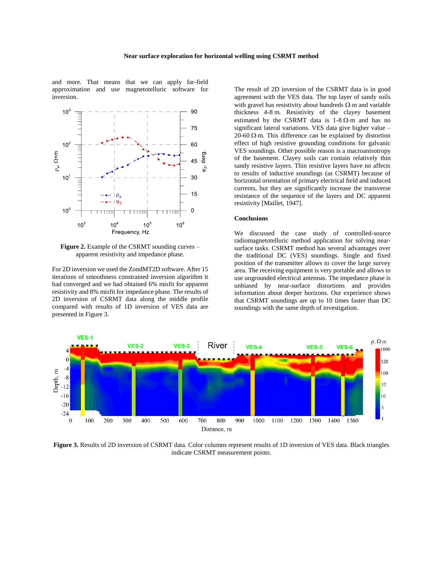and more. That means that we can apply far-field approximation and use magnetotelluric software for inversion.



**Figure 2.** Example of the CSRMT sounding curves – apparent resistivity and impedance phase.

For 2D inversion we used the ZondMT2D software. After 15 iterations of smoothness constrained inversion algorithm it had converged and we had obtained 6% misfit for apparent resistivity and 8% misfit for impedance phase. The results of 2D inversion of CSRMT data along the middle profile compared with results of 1D inversion of VES data are presented in Figure 3.

The result of 2D inversion of the CSRMT data is in good agreement with the VES data. The top layer of sandy soils with gravel has resistivity about hundreds  $\Omega$  m and variable thickness 4-8 m. Resistivity of the clayey basement estimated by the CSRMT data is  $1-8 \Omega \cdot m$  and has no significant lateral variations. VES data give higher value – 20-60  $\Omega$ ·m. This difference can be explained by distortion effect of high resistive grounding conditions for galvanic VES soundings. Other possible reason is a macroanisotropy of the basement. Clayey soils can contain relatively thin sandy resistive layers. Thin resistive layers have no affects to results of inductive soundings (as CSRMT) because of horizontal orientation of primary electrical field and induced currents, but they are significantly increase the transverse resistance of the sequence of the layers and DC apparent resistivity [Maillet, 1947].

## **Conclusions**

We discussed the case study of controlled-source radiomagnetotelluric method application for solving nearsurface tasks. CSRMT method has several advantages over the traditional DC (VES) soundings. Single and fixed position of the transmitter allows to cover the large survey area. The receiving equipment is very portable and allows to use ungrounded electrical antennas. The impedance phase is unbiased by near-surface distortions and provides information about deeper horizons. Our experience shows that CSRMT soundings are up to 10 times faster than DC soundings with the same depth of investigation.



**Figure 3.** Results of 2D inversion of CSRMT data. Color columns represent results of 1D inversion of VES data. Black triangles indicate CSRMT measurement points.